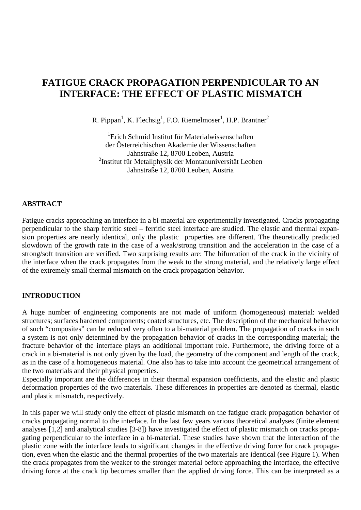# **FATIGUE CRACK PROPAGATION PERPENDICULAR TO AN INTERFACE: THE EFFECT OF PLASTIC MISMATCH**

R. Pippan<sup>1</sup>, K. Flechsig<sup>1</sup>, F.O. Riemelmoser<sup>1</sup>, H.P. Brantner<sup>2</sup>

<sup>1</sup>Erich Schmid Institut für Materialwissenschaften der Österreichischen Akademie der Wissenschaften Jahnstraße 12, 8700 Leoben, Austria <sup>2</sup>Institut für Metallphysik der Montanuniversität Leoben Jahnstraße 12, 8700 Leoben, Austria

#### **ABSTRACT**

Fatigue cracks approaching an interface in a bi-material are experimentally investigated. Cracks propagating perpendicular to the sharp ferritic steel – ferritic steel interface are studied. The elastic and thermal expansion properties are nearly identical, only the plastic properties are different. The theoretically predicted slowdown of the growth rate in the case of a weak/strong transition and the acceleration in the case of a strong/soft transition are verified. Two surprising results are: The bifurcation of the crack in the vicinity of the interface when the crack propagates from the weak to the strong material, and the relatively large effect of the extremely small thermal mismatch on the crack propagation behavior.

## **INTRODUCTION**

A huge number of engineering components are not made of uniform (homogeneous) material: welded structures; surfaces hardened components; coated structures, etc. The description of the mechanical behavior of such "composites" can be reduced very often to a bi-material problem. The propagation of cracks in such a system is not only determined by the propagation behavior of cracks in the corresponding material; the fracture behavior of the interface plays an additional important role. Furthermore, the driving force of a crack in a bi-material is not only given by the load, the geometry of the component and length of the crack, as in the case of a homogeneous material. One also has to take into account the geometrical arrangement of the two materials and their physical properties.

Especially important are the differences in their thermal expansion coefficients, and the elastic and plastic deformation properties of the two materials. These differences in properties are denoted as thermal, elastic and plastic mismatch, respectively.

In this paper we will study only the effect of plastic mismatch on the fatigue crack propagation behavior of cracks propagating normal to the interface. In the last few years various theoretical analyses (finite element analyses [1,2] and analytical studies [3-8]) have investigated the effect of plastic mismatch on cracks propagating perpendicular to the interface in a bi-material. These studies have shown that the interaction of the plastic zone with the interface leads to significant changes in the effective driving force for crack propagation, even when the elastic and the thermal properties of the two materials are identical (see Figure 1). When the crack propagates from the weaker to the stronger material before approaching the interface, the effective driving force at the crack tip becomes smaller than the applied driving force. This can be interpreted as a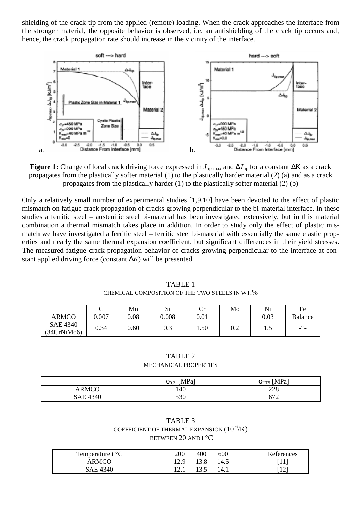shielding of the crack tip from the applied (remote) loading. When the crack approaches the interface from the stronger material, the opposite behavior is observed, i.e. an antishielding of the crack tip occurs and, hence, the crack propagation rate should increase in the vicinity of the interface.



**Figure 1:** Change of local crack driving force expressed in *J*tip max and ∆*J*tip for a constant ∆K as a crack propagates from the plastically softer material (1) to the plastically harder material (2) (a) and as a crack propagates from the plastically harder  $(1)$  to the plastically softer material  $(2)$  (b)

Only a relatively small number of experimental studies [1,9,10] have been devoted to the effect of plastic mismatch on fatigue crack propagation of cracks growing perpendicular to the bi-material interface. In these studies a ferritic steel – austenitic steel bi-material has been investigated extensively, but in this material combination a thermal mismatch takes place in addition. In order to study only the effect of plastic mismatch we have investigated a ferritic steel – ferritic steel bi-material with essentially the same elastic properties and nearly the same thermal expansion coefficient, but significant differences in their yield stresses. The measured fatigue crack propagation behavior of cracks growing perpendicular to the interface at constant applied driving force (constant ∆*K*) will be presented.

|                         | ⌒<br>ີ | Mn         | Si    | u    | Mo  | Ni         | Fe                    |
|-------------------------|--------|------------|-------|------|-----|------------|-----------------------|
| <b>ARMCO</b>            | 0.007  | $\rm 0.08$ | 0.008 | 0.01 |     | $\rm 0.03$ | <b>Balance</b>        |
| SAE 4340<br>(34CrNiMo6) | 0.34   | 0.60       | 0.3   | 1.50 | 0.2 | ر 1        | $-$ <sup>66</sup> $-$ |

TABLE 1 CHEMICAL COMPOSITION OF THE TWO STEELS IN WT.%

TABLE 2 MECHANICAL PROPERTIES

|              | [MPa]<br>$\sigma_{\text{0.2}}$ | $\sigma_{UTS}$ [MPa] |
|--------------|--------------------------------|----------------------|
| <b>ARMCO</b> | 140                            | 228                  |
| SAE 4340     | 530                            | 672                  |

| TABLE 3                                        |
|------------------------------------------------|
| COEFFICIENT OF THERMAL EXPANSION $(10^{-6}/K)$ |
| BETWEEN 20 AND $t^{\circ}C$                    |

| Temperature t $\mathrm{^{\circ}C}$ | 200  | 400  | 600  | References |
|------------------------------------|------|------|------|------------|
| ARMCO                              | 12.9 | 13.8 | 14.5 | [11]       |
| SAE 4340                           | 12.1 | 13.5 | 14.1 |            |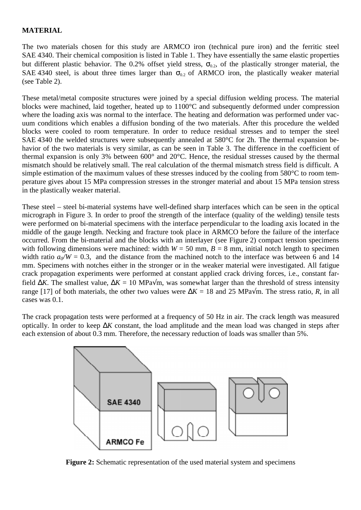## **MATERIAL**

The two materials chosen for this study are ARMCO iron (technical pure iron) and the ferritic steel SAE 4340. Their chemical composition is listed in Table 1. They have essentially the same elastic properties but different plastic behavior. The 0.2% offset yield stress,  $\sigma_{0.2}$ , of the plastically stronger material, the SAE 4340 steel, is about three times larger than  $\sigma_{0.2}$  of ARMCO iron, the plastically weaker material (see Table 2).

These metal/metal composite structures were joined by a special diffusion welding process. The material blocks were machined, laid together, heated up to 1100°C and subsequently deformed under compression where the loading axis was normal to the interface. The heating and deformation was performed under vacuum conditions which enables a diffusion bonding of the two materials. After this procedure the welded blocks were cooled to room temperature. In order to reduce residual stresses and to temper the steel SAE 4340 the welded structures were subsequently annealed at 580°C for 2h. The thermal expansion behavior of the two materials is very similar, as can be seen in Table 3. The difference in the coefficient of thermal expansion is only 3% between 600° and 20°C. Hence, the residual stresses caused by the thermal mismatch should be relatively small. The real calculation of the thermal mismatch stress field is difficult. A simple estimation of the maximum values of these stresses induced by the cooling from 580°C to room temperature gives about 15 MPa compression stresses in the stronger material and about 15 MPa tension stress in the plastically weaker material.

These steel – steel bi-material systems have well-defined sharp interfaces which can be seen in the optical micrograph in Figure 3. In order to proof the strength of the interface (quality of the welding) tensile tests were performed on bi-material specimens with the interface perpendicular to the loading axis located in the middle of the gauge length. Necking and fracture took place in ARMCO before the failure of the interface occurred. From the bi-material and the blocks with an interlayer (see Figure 2) compact tension specimens with following dimensions were machined: width  $W = 50$  mm,  $B = 8$  mm, initial notch length to specimen width ratio  $a_0/W = 0.3$ , and the distance from the machined notch to the interface was between 6 and 14 mm. Specimens with notches either in the stronger or in the weaker material were investigated. All fatigue crack propagation experiments were performed at constant applied crack driving forces, i.e., constant farfield  $\Delta K$ . The smallest value,  $\Delta K = 10$  MPa√m, was somewhat larger than the threshold of stress intensity range [17] of both materials, the other two values were  $\Delta K = 18$  and 25 MPa√m. The stress ratio, *R*, in all cases was 0.1.

The crack propagation tests were performed at a frequency of 50 Hz in air. The crack length was measured optically. In order to keep ∆*K* constant, the load amplitude and the mean load was changed in steps after each extension of about 0.3 mm. Therefore, the necessary reduction of loads was smaller than 5%.



**Figure 2:** Schematic representation of the used material system and specimens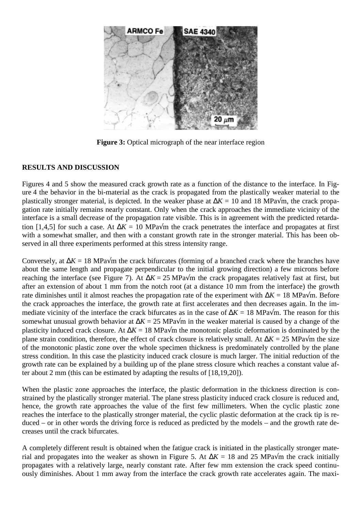

**Figure 3:** Optical micrograph of the near interface region

## **RESULTS AND DISCUSSION**

Figures 4 and 5 show the measured crack growth rate as a function of the distance to the interface. In Figure 4 the behavior in the bi-material as the crack is propagated from the plastically weaker material to the plastically stronger material, is depicted. In the weaker phase at  $\Delta K = 10$  and 18 MPa√m, the crack propagation rate initially remains nearly constant. Only when the crack approaches the immediate vicinity of the interface is a small decrease of the propagation rate visible. This is in agreement with the predicted retardation [1,4,5] for such a case. At  $\Delta K = 10$  MPa $\sqrt{m}$  the crack penetrates the interface and propagates at first with a somewhat smaller, and then with a constant growth rate in the stronger material. This has been observed in all three experiments performed at this stress intensity range.

Conversely, at ∆*K* = 18 MPa√m the crack bifurcates (forming of a branched crack where the branches have about the same length and propagate perpendicular to the initial growing direction) a few microns before reaching the interface (see Figure 7). At  $\Delta K = 25$  MPa $\sqrt{m}$  the crack propagates relatively fast at first, but after an extension of about 1 mm from the notch root (at a distance 10 mm from the interface) the growth rate diminishes until it almost reaches the propagation rate of the experiment with ∆*K* = 18 MPa√m. Before the crack approaches the interface, the growth rate at first accelerates and then decreases again. In the immediate vicinity of the interface the crack bifurcates as in the case of ∆*K* = 18 MPa√m. The reason for this somewhat unusual growth behavior at ∆*K* = 25 MPa√m in the weaker material is caused by a change of the plasticity induced crack closure. At ∆*K* = 18 MPa√m the monotonic plastic deformation is dominated by the plane strain condition, therefore, the effect of crack closure is relatively small. At ∆*K* = 25 MPa√m the size of the monotonic plastic zone over the whole specimen thickness is predominately controlled by the plane stress condition. In this case the plasticity induced crack closure is much larger. The initial reduction of the growth rate can be explained by a building up of the plane stress closure which reaches a constant value after about 2 mm (this can be estimated by adapting the results of [18,19,20]).

When the plastic zone approaches the interface, the plastic deformation in the thickness direction is constrained by the plastically stronger material. The plane stress plasticity induced crack closure is reduced and, hence, the growth rate approaches the value of the first few millimeters. When the cyclic plastic zone reaches the interface to the plastically stronger material, the cyclic plastic deformation at the crack tip is reduced – or in other words the driving force is reduced as predicted by the models – and the growth rate decreases until the crack bifurcates.

A completely different result is obtained when the fatigue crack is initiated in the plastically stronger material and propagates into the weaker as shown in Figure 5. At  $\Delta K = 18$  and 25 MPa√m the crack initially propagates with a relatively large, nearly constant rate. After few mm extension the crack speed continuously diminishes. About 1 mm away from the interface the crack growth rate accelerates again. The maxi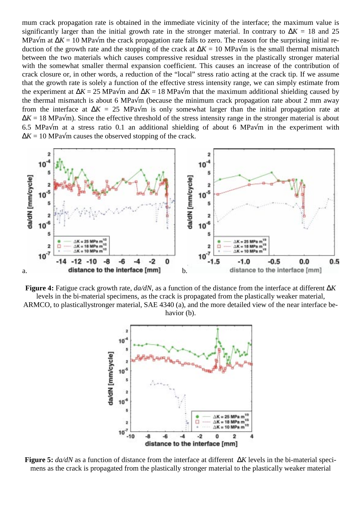mum crack propagation rate is obtained in the immediate vicinity of the interface; the maximum value is significantly larger than the initial growth rate in the stronger material. In contrary to ∆*K* = 18 and 25 MPa√m at ∆*K* = 10 MPa√m the crack propagation rate falls to zero. The reason for the surprising initial reduction of the growth rate and the stopping of the crack at ∆*K* = 10 MPa√m is the small thermal mismatch between the two materials which causes compressive residual stresses in the plastically stronger material with the somewhat smaller thermal expansion coefficient. This causes an increase of the contribution of crack closure or, in other words, a reduction of the "local" stress ratio acting at the crack tip. If we assume that the growth rate is solely a function of the effective stress intensity range, we can simply estimate from the experiment at ∆*K* = 25 MPa√m and ∆*K* = 18 MPa√m that the maximum additional shielding caused by the thermal mismatch is about 6 MPa $\sqrt{m}$  (because the minimum crack propagation rate about 2 mm away from the interface at  $\Delta K = 25$  MPa $\sqrt{m}$  is only somewhat larger than the initial propagation rate at  $\Delta K = 18$  MPa $\sqrt{m}$ ). Since the effective threshold of the stress intensity range in the stronger material is about 6.5 MPa√m at a stress ratio 0.1 an additional shielding of about 6 MPa√m in the experiment with  $\Delta K = 10$  MPa $\sqrt{m}$  causes the observed stopping of the crack.



**Figure 4:** Fatigue crack growth rate, *da/dN*, as a function of the distance from the interface at different ∆*K*

levels in the bi-material specimens, as the crack is propagated from the plastically weaker material, ARMCO, to plasticallystronger material, SAE 4340 (a), and the more detailed view of the near interface behavior (b).



**Figure 5:** *da/dN* as a function of distance from the interface at different ∆*K* levels in the bi-material specimens as the crack is propagated from the plastically stronger material to the plastically weaker material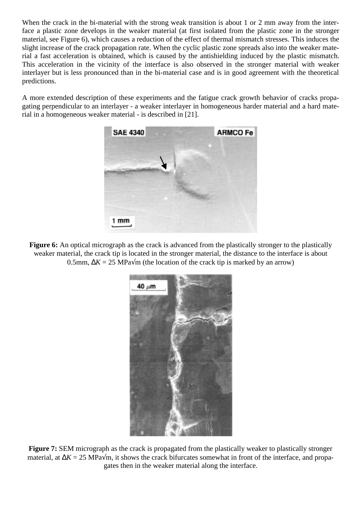When the crack in the bi-material with the strong weak transition is about 1 or 2 mm away from the interface a plastic zone develops in the weaker material (at first isolated from the plastic zone in the stronger material, see Figure 6), which causes a reduction of the effect of thermal mismatch stresses. This induces the slight increase of the crack propagation rate. When the cyclic plastic zone spreads also into the weaker material a fast acceleration is obtained, which is caused by the antishielding induced by the plastic mismatch. This acceleration in the vicinity of the interface is also observed in the stronger material with weaker interlayer but is less pronounced than in the bi-material case and is in good agreement with the theoretical predictions.

A more extended description of these experiments and the fatigue crack growth behavior of cracks propagating perpendicular to an interlayer - a weaker interlayer in homogeneous harder material and a hard material in a homogeneous weaker material - is described in [21].



**Figure 6:** An optical micrograph as the crack is advanced from the plastically stronger to the plastically weaker material, the crack tip is located in the stronger material, the distance to the interface is about 0.5mm,  $\Delta K = 25$  MPa $\sqrt{m}$  (the location of the crack tip is marked by an arrow)



**Figure 7:** SEM micrograph as the crack is propagated from the plastically weaker to plastically stronger material, at ∆*K* = 25 MPa√m, it shows the crack bifurcates somewhat in front of the interface, and propagates then in the weaker material along the interface.